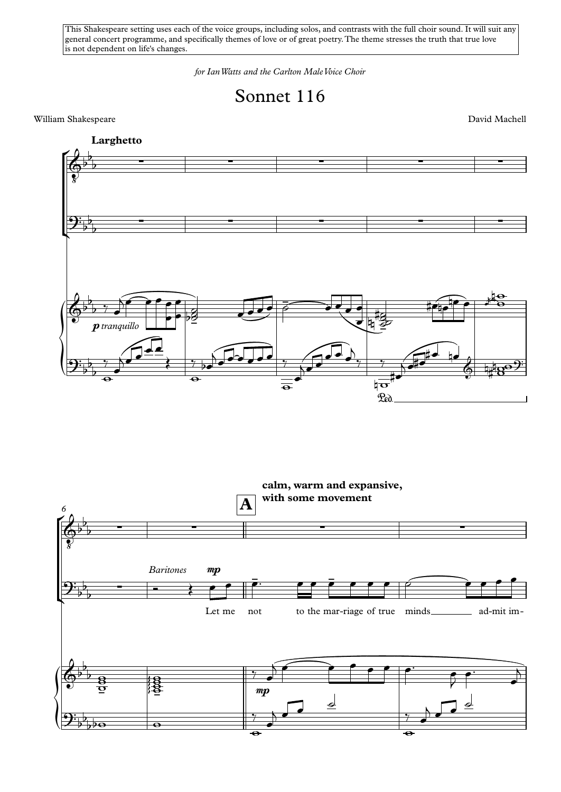This Shakespeare setting uses each of the voice groups, including solos, and contrasts with the full choir sound. It will suit any general concert programme, and specifically themes of love or of great poetry.The theme stresses the truth that true love is not dependent on life's changes.

*for IanWatts and the Carlton MaleVoice Choir*



William Shakespeare David Machell



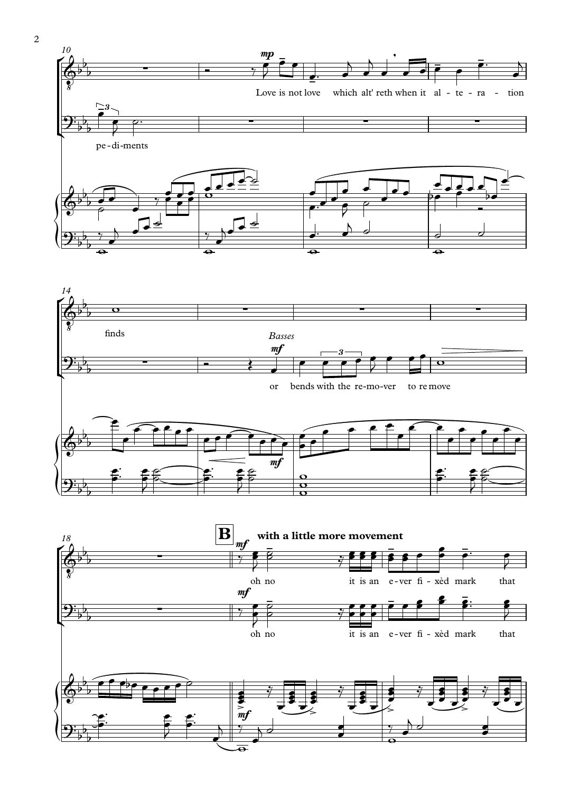



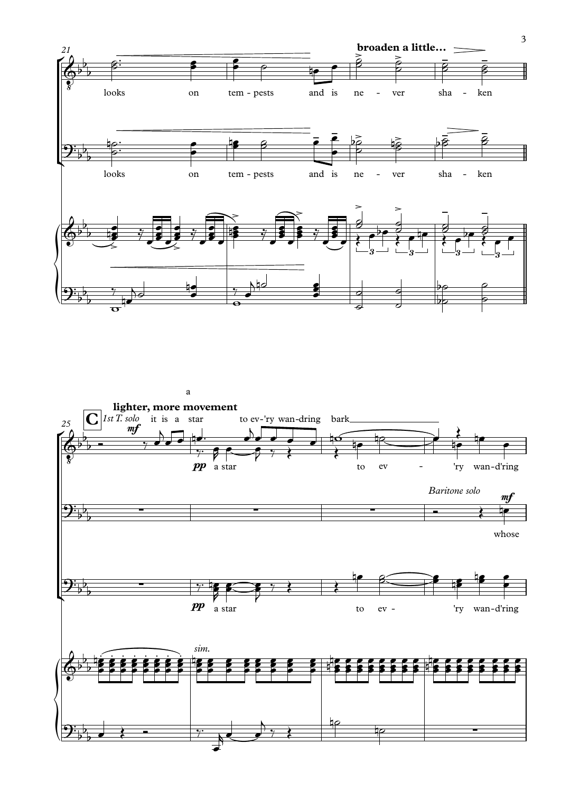

a

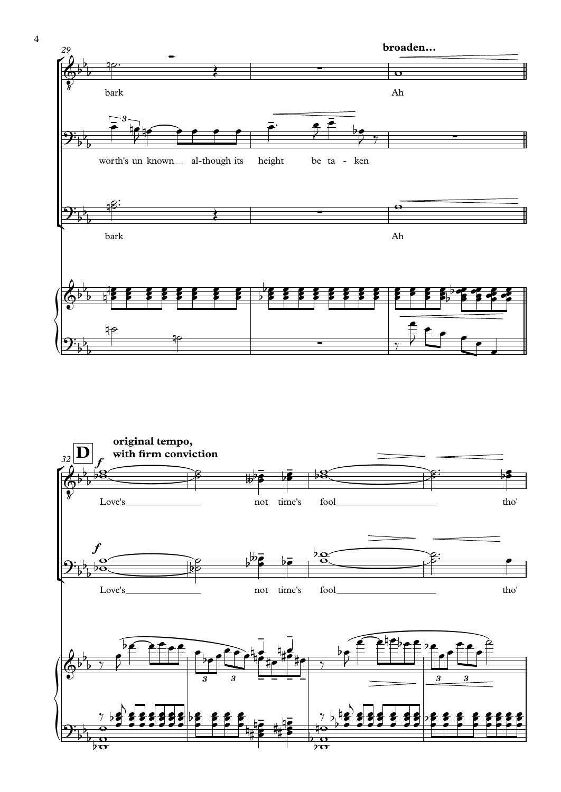

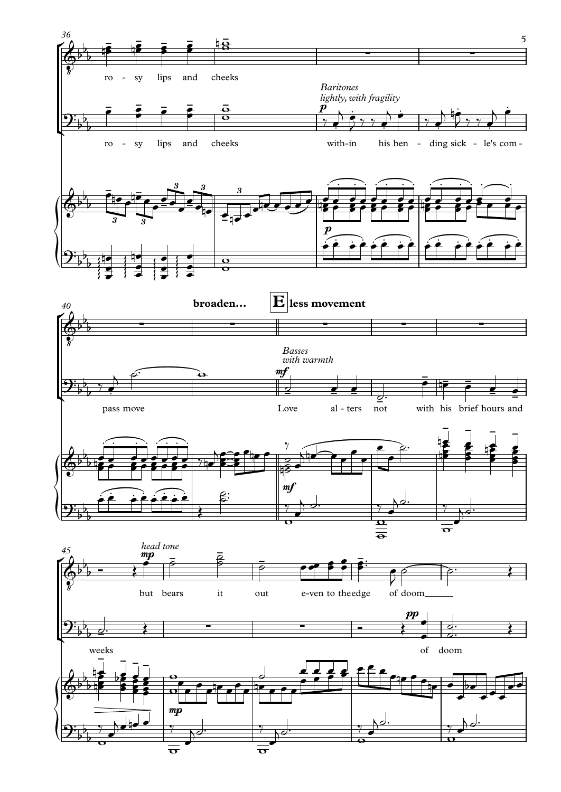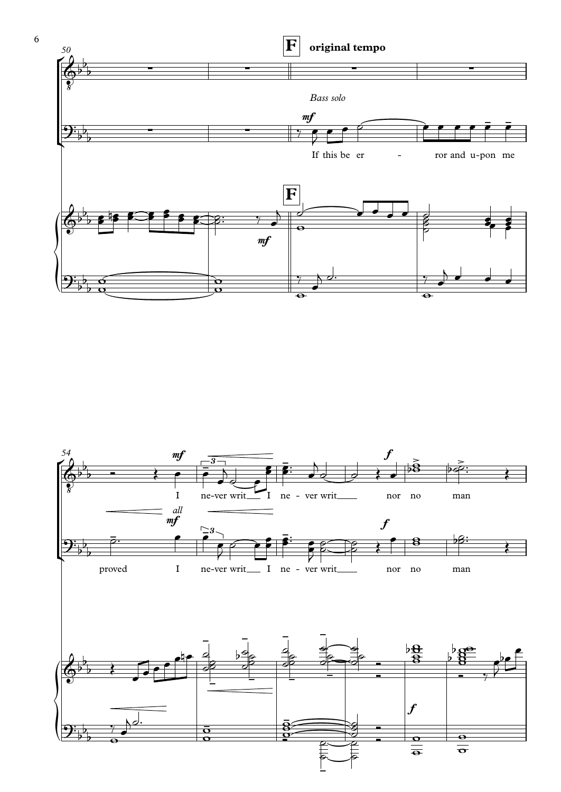